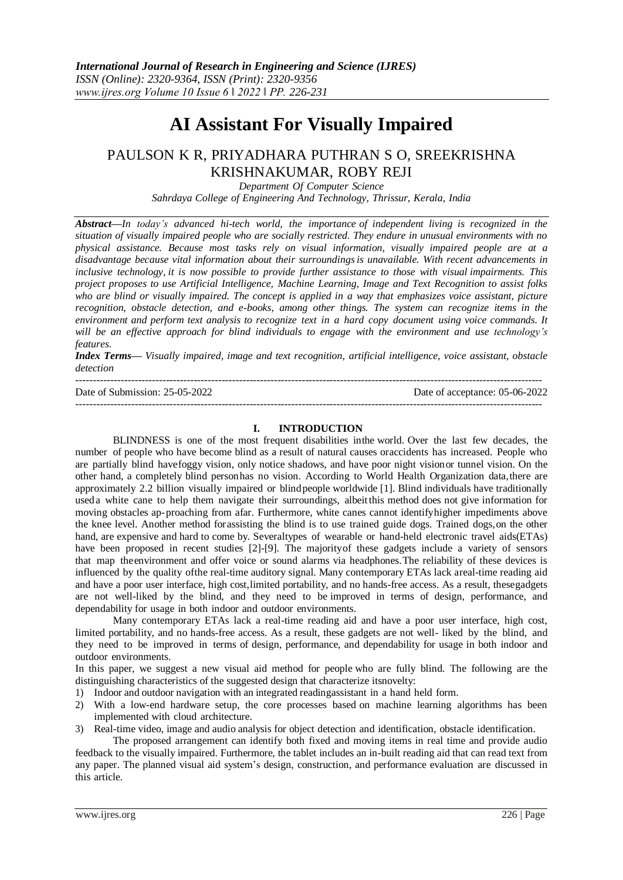# **AI Assistant For Visually Impaired**

## PAULSON K R, PRIYADHARA PUTHRAN S O, SREEKRISHNA KRISHNAKUMAR, ROBY REJI

*Department Of Computer Science Sahrdaya College of Engineering And Technology, Thrissur, Kerala, India*

*Abstract—In today's advanced hi-tech world, the importance of independent living is recognized in the situation of visually impaired people who are socially restricted. They endure in unusual environments with no physical assistance. Because most tasks rely on visual information, visually impaired people are at a disadvantage because vital information about their surroundingsis unavailable. With recent advancements in inclusive technology, it is now possible to provide further assistance to those with visual impairments. This project proposes to use Artificial Intelligence, Machine Learning, Image and Text Recognition to assist folks who are blind or visually impaired. The concept is applied in a way that emphasizes voice assistant, picture recognition, obstacle detection, and e-books, among other things. The system can recognize items in the environment and perform text analysis to recognize text in a hard copy document using voice commands. It will be an effective approach for blind individuals to engage with the environment and use technology's features.*

*Index Terms— Visually impaired, image and text recognition, artificial intelligence, voice assistant, obstacle detection*

--------------------------------------------------------------------------------------------------------------------------------------

Date of Submission: 25-05-2022 Date of acceptance: 05-06-2022 --------------------------------------------------------------------------------------------------------------------------------------

#### **I. INTRODUCTION**

BLINDNESS is one of the most frequent disabilities inthe world. Over the last few decades, the number of people who have become blind as a result of natural causes oraccidents has increased. People who are partially blind havefoggy vision, only notice shadows, and have poor night visionor tunnel vision. On the other hand, a completely blind personhas no vision. According to World Health Organization data,there are approximately 2.2 billion visually impaired or blindpeople worldwide [1]. Blind individuals have traditionally useda white cane to help them navigate their surroundings, albeitthis method does not give information for moving obstacles ap-proaching from afar. Furthermore, white canes cannot identifyhigher impediments above the knee level. Another method for assisting the blind is to use trained guide dogs. Trained dogs, on the other hand, are expensive and hard to come by. Severaltypes of wearable or hand-held electronic travel aids(ETAs) have been proposed in recent studies [2]-[9]. The majorityof these gadgets include a variety of sensors that map theenvironment and offer voice or sound alarms via headphones.The reliability of these devices is influenced by the quality ofthe real-time auditory signal. Many contemporary ETAs lack areal-time reading aid and have a poor user interface, high cost,limited portability, and no hands-free access. As a result, thesegadgets are not well-liked by the blind, and they need to be improved in terms of design, performance, and dependability for usage in both indoor and outdoor environments.

Many contemporary ETAs lack a real-time reading aid and have a poor user interface, high cost, limited portability, and no hands-free access. As a result, these gadgets are not well- liked by the blind, and they need to be improved in terms of design, performance, and dependability for usage in both indoor and outdoor environments.

In this paper, we suggest a new visual aid method for people who are fully blind. The following are the distinguishing characteristics of the suggested design that characterize itsnovelty:

- 1) Indoor and outdoor navigation with an integrated readingassistant in a hand held form.
- 2) With a low-end hardware setup, the core processes based on machine learning algorithms has been implemented with cloud architecture.
- 3) Real-time video, image and audio analysis for object detection and identification, obstacle identification.

The proposed arrangement can identify both fixed and moving items in real time and provide audio feedback to the visually impaired. Furthermore, the tablet includes an in-built reading aid that can read text from any paper. The planned visual aid system's design, construction, and performance evaluation are discussed in this article.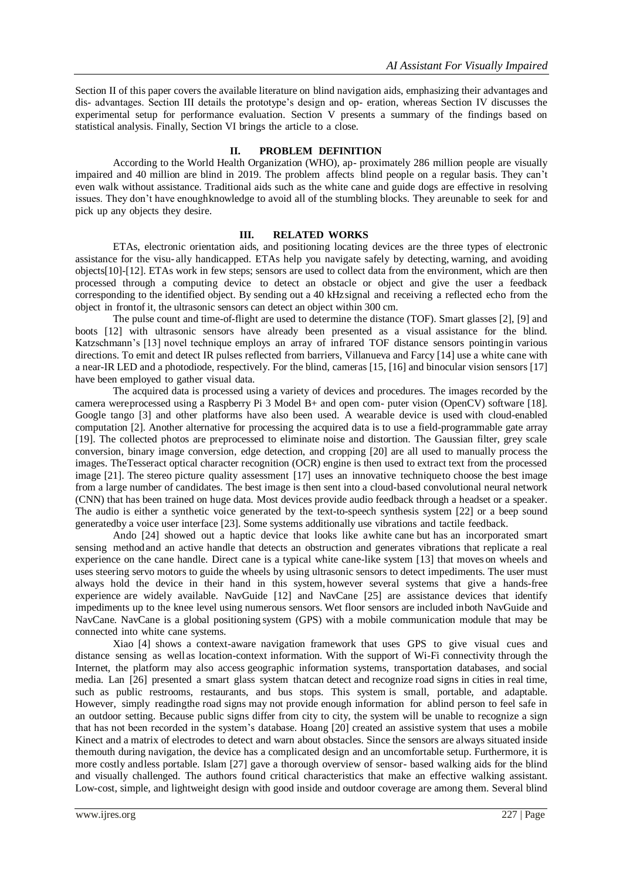Section II of this paper covers the available literature on blind navigation aids, emphasizing their advantages and dis- advantages. Section III details the prototype's design and op- eration, whereas Section IV discusses the experimental setup for performance evaluation. Section V presents a summary of the findings based on statistical analysis. Finally, Section VI brings the article to a close.

#### **II. PROBLEM DEFINITION**

According to the World Health Organization (WHO), ap- proximately 286 million people are visually impaired and 40 million are blind in 2019. The problem affects blind people on a regular basis. They can't even walk without assistance. Traditional aids such as the white cane and guide dogs are effective in resolving issues. They don't have enoughknowledge to avoid all of the stumbling blocks. They areunable to seek for and pick up any objects they desire.

#### **III. RELATED WORKS**

ETAs, electronic orientation aids, and positioning locating devices are the three types of electronic assistance for the visu- ally handicapped. ETAs help you navigate safely by detecting, warning, and avoiding objects[10]-[12]. ETAs work in few steps; sensors are used to collect data from the environment, which are then processed through a computing device to detect an obstacle or object and give the user a feedback corresponding to the identified object. By sending out a 40 kHzsignal and receiving a reflected echo from the object in frontof it, the ultrasonic sensors can detect an object within 300 cm.

The pulse count and time-of-flight are used to determine the distance (TOF). Smart glasses [2], [9] and boots [12] with ultrasonic sensors have already been presented as a visual assistance for the blind. Katzschmann's [13] novel technique employs an array of infrared TOF distance sensors pointingin various directions. To emit and detect IR pulses reflected from barriers, Villanueva and Farcy [14] use a white cane with a near-IR LED and a photodiode, respectively. For the blind, cameras [15, [16] and binocular vision sensors [17] have been employed to gather visual data.

The acquired data is processed using a variety of devices and procedures. The images recorded by the camera wereprocessed using a Raspberry Pi 3 Model B+ and open com- puter vision (OpenCV) software [18]. Google tango [3] and other platforms have also been used. A wearable device is used with cloud-enabled computation [2]. Another alternative for processing the acquired data is to use a field-programmable gate array [19]. The collected photos are preprocessed to eliminate noise and distortion. The Gaussian filter, grey scale conversion, binary image conversion, edge detection, and cropping [20] are all used to manually process the images. TheTesseract optical character recognition (OCR) engine is then used to extract text from the processed image [21]. The stereo picture quality assessment [17] uses an innovative techniqueto choose the best image from a large number of candidates. The best image is then sent into a cloud-based convolutional neural network (CNN) that has been trained on huge data. Most devices provide audio feedback through a headset or a speaker. The audio is either a synthetic voice generated by the text-to-speech synthesis system [22] or a beep sound generatedby a voice user interface [23]. Some systems additionally use vibrations and tactile feedback.

Ando [24] showed out a haptic device that looks like awhite cane but has an incorporated smart sensing methodand an active handle that detects an obstruction and generates vibrations that replicate a real experience on the cane handle. Direct cane is a typical white cane-like system [13] that moves on wheels and uses steering servo motors to guide the wheels by using ultrasonic sensors to detect impediments. The user must always hold the device in their hand in this system, however several systems that give a hands-free experience are widely available. NavGuide [12] and NavCane [25] are assistance devices that identify impediments up to the knee level using numerous sensors. Wet floor sensors are included inboth NavGuide and NavCane. NavCane is a global positioning system (GPS) with a mobile communication module that may be connected into white cane systems.

Xiao [4] shows a context-aware navigation framework that uses GPS to give visual cues and distance sensing as well as location-context information. With the support of Wi-Fi connectivity through the Internet, the platform may also access geographic information systems, transportation databases, and social media. Lan [26] presented a smart glass system thatcan detect and recognize road signs in cities in real time, such as public restrooms, restaurants, and bus stops. This system is small, portable, and adaptable. However, simply readingthe road signs may not provide enough information for ablind person to feel safe in an outdoor setting. Because public signs differ from city to city, the system will be unable to recognize a sign that has not been recorded in the system's database. Hoang [20] created an assistive system that uses a mobile Kinect and a matrix of electrodes to detect and warn about obstacles. Since the sensors are always situated inside themouth during navigation, the device has a complicated design and an uncomfortable setup. Furthermore, it is more costly andless portable. Islam [27] gave a thorough overview of sensor- based walking aids for the blind and visually challenged. The authors found critical characteristics that make an effective walking assistant. Low-cost, simple, and lightweight design with good inside and outdoor coverage are among them. Several blind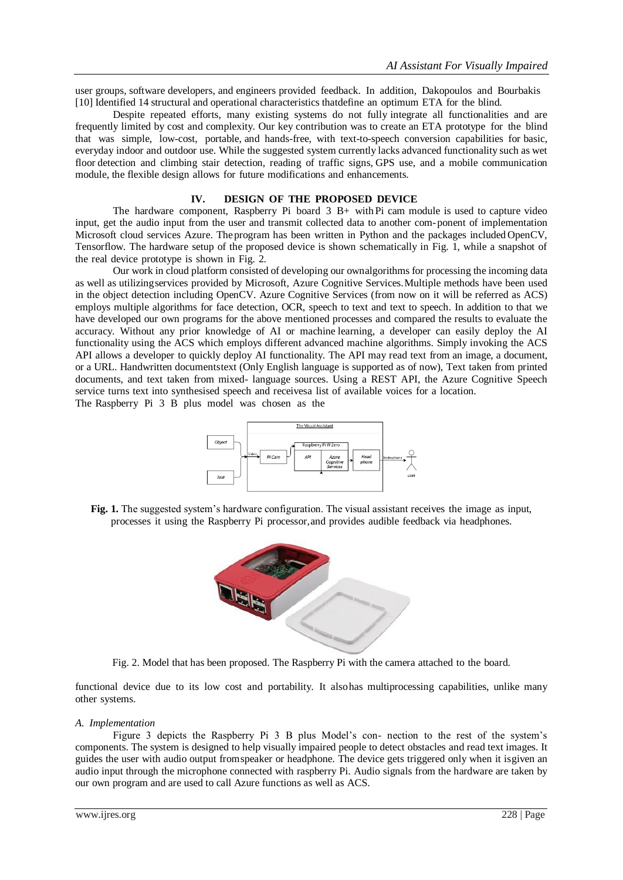user groups, software developers, and engineers provided feedback. In addition, Dakopoulos and Bourbakis [10] Identified 14 structural and operational characteristics thatdefine an optimum ETA for the blind.

Despite repeated efforts, many existing systems do not fully integrate all functionalities and are frequently limited by cost and complexity. Our key contribution was to create an ETA prototype for the blind that was simple, low-cost, portable, and hands-free, with text-to-speech conversion capabilities for basic, everyday indoor and outdoor use. While the suggested system currently lacks advanced functionality such as wet floor detection and climbing stair detection, reading of traffic signs, GPS use, and a mobile communication module, the flexible design allows for future modifications and enhancements.

#### **IV. DESIGN OF THE PROPOSED DEVICE**

The hardware component, Raspberry Pi board  $3 \text{ B}+$  with Pi cam module is used to capture video input, get the audio input from the user and transmit collected data to another com-ponent of implementation Microsoft cloud services Azure. Theprogram has been written in Python and the packages included OpenCV, Tensorflow. The hardware setup of the proposed device is shown schematically in Fig. 1, while a snapshot of the real device prototype is shown in Fig. 2.

Our work in cloud platform consisted of developing our ownalgorithms for processing the incoming data as well as utilizingservices provided by Microsoft, Azure Cognitive Services.Multiple methods have been used in the object detection including OpenCV. Azure Cognitive Services (from now on it will be referred as ACS) employs multiple algorithms for face detection, OCR, speech to text and text to speech. In addition to that we have developed our own programs for the above mentioned processes and compared the results to evaluate the accuracy. Without any prior knowledge of AI or machine learning, a developer can easily deploy the AI functionality using the ACS which employs different advanced machine algorithms. Simply invoking the ACS API allows a developer to quickly deploy AI functionality. The API may read text from an image, a document, or a URL. Handwritten documentstext (Only English language is supported as of now), Text taken from printed documents, and text taken from mixed- language sources. Using a REST API, the Azure Cognitive Speech service turns text into synthesised speech and receivesa list of available voices for a location. The Raspberry Pi 3 B plus model was chosen as the



**Fig. 1.** The suggested system's hardware configuration. The visual assistant receives the image as input, processes it using the Raspberry Pi processor,and provides audible feedback via headphones.



Fig. 2. Model that has been proposed. The Raspberry Pi with the camera attached to the board.

functional device due to its low cost and portability. It alsohas multiprocessing capabilities, unlike many other systems.

#### *A. Implementation*

Figure 3 depicts the Raspberry Pi 3 B plus Model's con- nection to the rest of the system's components. The system is designed to help visually impaired people to detect obstacles and read text images. It guides the user with audio output fromspeaker or headphone. The device gets triggered only when it isgiven an audio input through the microphone connected with raspberry Pi. Audio signals from the hardware are taken by our own program and are used to call Azure functions as well as ACS.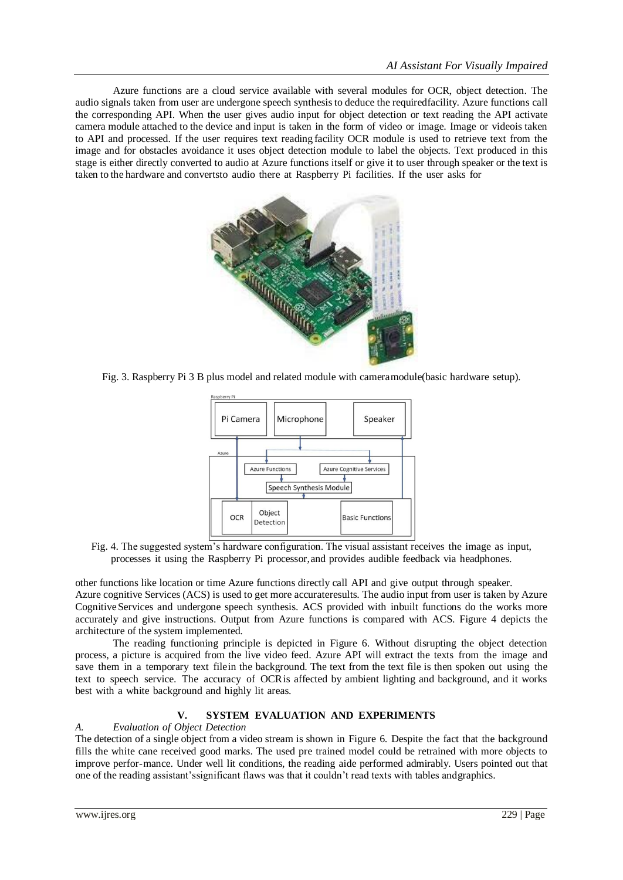Azure functions are a cloud service available with several modules for OCR, object detection. The audio signals taken from user are undergone speech synthesisto deduce the requiredfacility. Azure functions call the corresponding API. When the user gives audio input for object detection or text reading the API activate camera module attached to the device and input is taken in the form of video or image. Image or videois taken to API and processed. If the user requires text reading facility OCR module is used to retrieve text from the image and for obstacles avoidance it uses object detection module to label the objects. Text produced in this stage is either directly converted to audio at Azure functions itself or give it to user through speaker or the text is taken to the hardware and convertsto audio there at Raspberry Pi facilities. If the user asks for



Fig. 3. Raspberry Pi 3 B plus model and related module with cameramodule(basic hardware setup).



Fig. 4. The suggested system's hardware configuration. The visual assistant receives the image as input, processes it using the Raspberry Pi processor,and provides audible feedback via headphones.

other functions like location or time Azure functions directly call API and give output through speaker. Azure cognitive Services (ACS) is used to get more accurateresults. The audio input from user is taken by Azure Cognitive Services and undergone speech synthesis. ACS provided with inbuilt functions do the works more accurately and give instructions. Output from Azure functions is compared with ACS. Figure 4 depicts the architecture of the system implemented.

The reading functioning principle is depicted in Figure 6. Without disrupting the object detection process, a picture is acquired from the live video feed. Azure API will extract the texts from the image and save them in a temporary text filein the background. The text from the text file is then spoken out using the text to speech service. The accuracy of OCRis affected by ambient lighting and background, and it works best with a white background and highly lit areas.

## **V. SYSTEM EVALUATION AND EXPERIMENTS**

#### *A. Evaluation of Object Detection*

The detection of a single object from a video stream is shown in Figure 6. Despite the fact that the background fills the white cane received good marks. The used pre trained model could be retrained with more objects to improve perfor-mance. Under well lit conditions, the reading aide performed admirably. Users pointed out that one of the reading assistant'ssignificant flaws was that it couldn't read texts with tables andgraphics.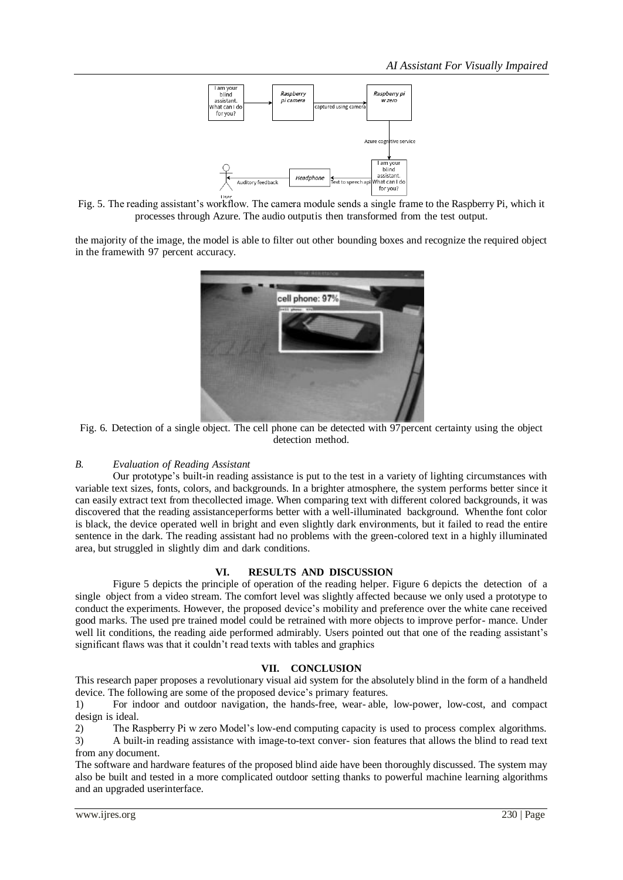

Fig. 5. The reading assistant's workflow. The camera module sends a single frame to the Raspberry Pi, which it processes through Azure. The audio outputis then transformed from the test output.

the majority of the image, the model is able to filter out other bounding boxes and recognize the required object in the framewith 97 percent accuracy.



Fig. 6. Detection of a single object. The cell phone can be detected with 97percent certainty using the object detection method.

## *B. Evaluation of Reading Assistant*

Our prototype's built-in reading assistance is put to the test in a variety of lighting circumstances with variable text sizes, fonts, colors, and backgrounds. In a brighter atmosphere, the system performs better since it can easily extract text from thecollected image. When comparing text with different colored backgrounds, it was discovered that the reading assistanceperforms better with a well-illuminated background. Whenthe font color is black, the device operated well in bright and even slightly dark environments, but it failed to read the entire sentence in the dark. The reading assistant had no problems with the green-colored text in a highly illuminated area, but struggled in slightly dim and dark conditions.

#### **VI. RESULTS AND DISCUSSION**

Figure 5 depicts the principle of operation of the reading helper. Figure 6 depicts the detection of a single object from a video stream. The comfort level was slightly affected because we only used a prototype to conduct the experiments. However, the proposed device's mobility and preference over the white cane received good marks. The used pre trained model could be retrained with more objects to improve perfor- mance. Under well lit conditions, the reading aide performed admirably. Users pointed out that one of the reading assistant's significant flaws was that it couldn't read texts with tables and graphics

#### **VII. CONCLUSION**

This research paper proposes a revolutionary visual aid system for the absolutely blind in the form of a handheld device. The following are some of the proposed device's primary features.

1) For indoor and outdoor navigation, the hands-free, wear- able, low-power, low-cost, and compact design is ideal.

2) The Raspberry Pi w zero Model's low-end computing capacity is used to process complex algorithms. 3) A built-in reading assistance with image-to-text conver- sion features that allows the blind to read text from any document.

The software and hardware features of the proposed blind aide have been thoroughly discussed. The system may also be built and tested in a more complicated outdoor setting thanks to powerful machine learning algorithms and an upgraded userinterface.